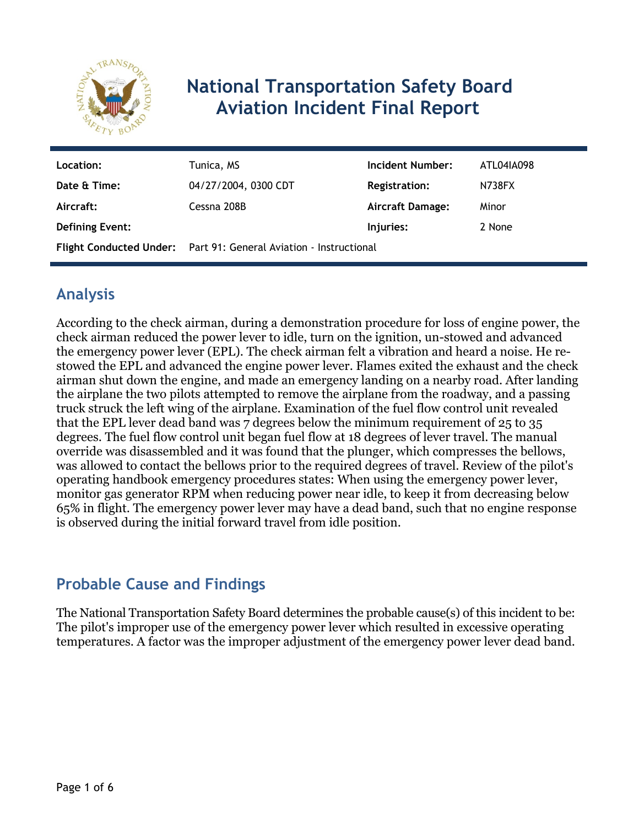

# **National Transportation Safety Board Aviation Incident Final Report**

| Location:              | Tunica, MS                                                               | Incident Number:     | ATL04IA098 |
|------------------------|--------------------------------------------------------------------------|----------------------|------------|
| Date & Time:           | 04/27/2004, 0300 CDT                                                     | <b>Registration:</b> | N738FX     |
| Aircraft:              | Cessna 208B                                                              | Aircraft Damage:     | Minor      |
| <b>Defining Event:</b> |                                                                          | Injuries:            | 2 None     |
|                        | <b>Flight Conducted Under:</b> Part 91: General Aviation - Instructional |                      |            |

### **Analysis**

According to the check airman, during a demonstration procedure for loss of engine power, the check airman reduced the power lever to idle, turn on the ignition, un-stowed and advanced the emergency power lever (EPL). The check airman felt a vibration and heard a noise. He restowed the EPL and advanced the engine power lever. Flames exited the exhaust and the check airman shut down the engine, and made an emergency landing on a nearby road. After landing the airplane the two pilots attempted to remove the airplane from the roadway, and a passing truck struck the left wing of the airplane. Examination of the fuel flow control unit revealed that the EPL lever dead band was 7 degrees below the minimum requirement of 25 to 35 degrees. The fuel flow control unit began fuel flow at 18 degrees of lever travel. The manual override was disassembled and it was found that the plunger, which compresses the bellows, was allowed to contact the bellows prior to the required degrees of travel. Review of the pilot's operating handbook emergency procedures states: When using the emergency power lever, monitor gas generator RPM when reducing power near idle, to keep it from decreasing below 65% in flight. The emergency power lever may have a dead band, such that no engine response is observed during the initial forward travel from idle position.

#### **Probable Cause and Findings**

The National Transportation Safety Board determines the probable cause(s) of this incident to be: The pilot's improper use of the emergency power lever which resulted in excessive operating temperatures. A factor was the improper adjustment of the emergency power lever dead band.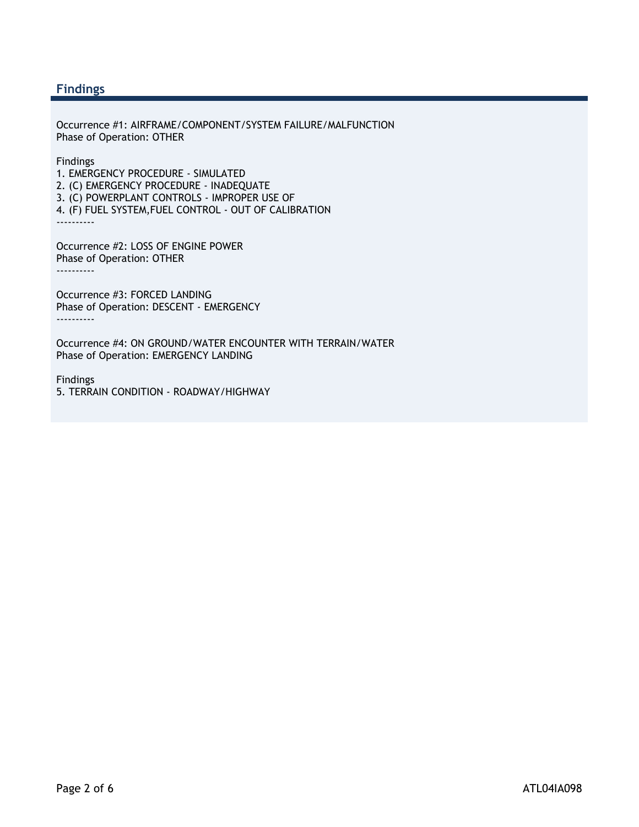#### **Findings**

Occurrence #1: AIRFRAME/COMPONENT/SYSTEM FAILURE/MALFUNCTION Phase of Operation: OTHER

Findings

1. EMERGENCY PROCEDURE - SIMULATED 2. (C) EMERGENCY PROCEDURE - INADEQUATE 3. (C) POWERPLANT CONTROLS - IMPROPER USE OF

4. (F) FUEL SYSTEM,FUEL CONTROL - OUT OF CALIBRATION ----------

Occurrence #2: LOSS OF ENGINE POWER Phase of Operation: OTHER ----------

Occurrence #3: FORCED LANDING Phase of Operation: DESCENT - EMERGENCY ----------

Occurrence #4: ON GROUND/WATER ENCOUNTER WITH TERRAIN/WATER Phase of Operation: EMERGENCY LANDING

Findings 5. TERRAIN CONDITION - ROADWAY/HIGHWAY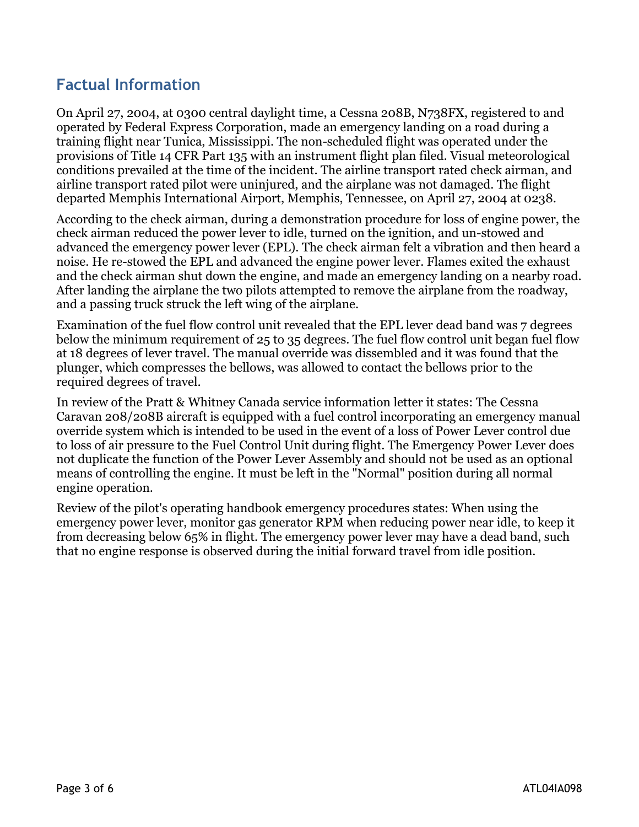### **Factual Information**

On April 27, 2004, at 0300 central daylight time, a Cessna 208B, N738FX, registered to and operated by Federal Express Corporation, made an emergency landing on a road during a training flight near Tunica, Mississippi. The non-scheduled flight was operated under the provisions of Title 14 CFR Part 135 with an instrument flight plan filed. Visual meteorological conditions prevailed at the time of the incident. The airline transport rated check airman, and airline transport rated pilot were uninjured, and the airplane was not damaged. The flight departed Memphis International Airport, Memphis, Tennessee, on April 27, 2004 at 0238.

According to the check airman, during a demonstration procedure for loss of engine power, the check airman reduced the power lever to idle, turned on the ignition, and un-stowed and advanced the emergency power lever (EPL). The check airman felt a vibration and then heard a noise. He re-stowed the EPL and advanced the engine power lever. Flames exited the exhaust and the check airman shut down the engine, and made an emergency landing on a nearby road. After landing the airplane the two pilots attempted to remove the airplane from the roadway, and a passing truck struck the left wing of the airplane.

Examination of the fuel flow control unit revealed that the EPL lever dead band was 7 degrees below the minimum requirement of 25 to 35 degrees. The fuel flow control unit began fuel flow at 18 degrees of lever travel. The manual override was dissembled and it was found that the plunger, which compresses the bellows, was allowed to contact the bellows prior to the required degrees of travel.

In review of the Pratt & Whitney Canada service information letter it states: The Cessna Caravan 208/208B aircraft is equipped with a fuel control incorporating an emergency manual override system which is intended to be used in the event of a loss of Power Lever control due to loss of air pressure to the Fuel Control Unit during flight. The Emergency Power Lever does not duplicate the function of the Power Lever Assembly and should not be used as an optional means of controlling the engine. It must be left in the "Normal" position during all normal engine operation.

Review of the pilot's operating handbook emergency procedures states: When using the emergency power lever, monitor gas generator RPM when reducing power near idle, to keep it from decreasing below 65% in flight. The emergency power lever may have a dead band, such that no engine response is observed during the initial forward travel from idle position.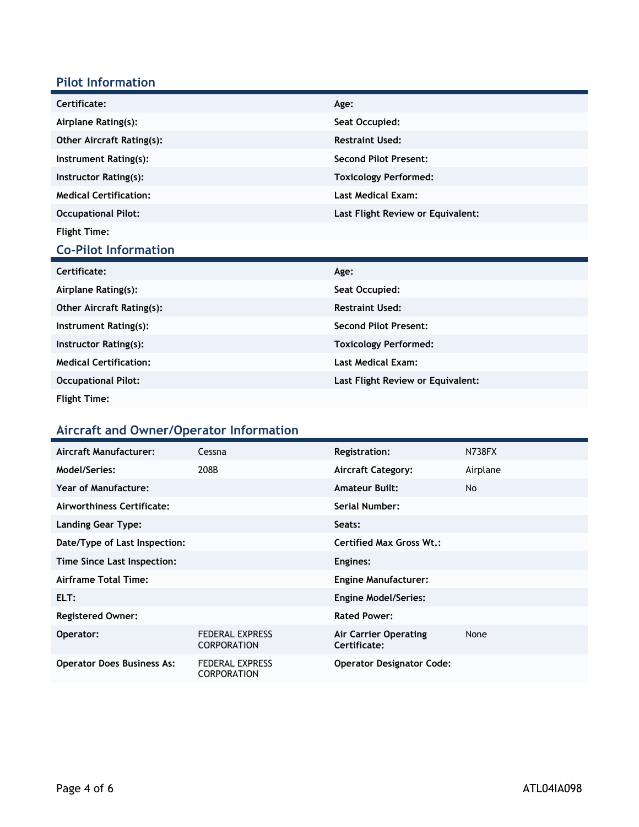#### **Pilot Information**

| Certificate:                     | Age:                              |
|----------------------------------|-----------------------------------|
| Airplane Rating(s):              | Seat Occupied:                    |
| <b>Other Aircraft Rating(s):</b> | <b>Restraint Used:</b>            |
| Instrument Rating(s):            | <b>Second Pilot Present:</b>      |
| Instructor Rating(s):            | <b>Toxicology Performed:</b>      |
| <b>Medical Certification:</b>    | <b>Last Medical Exam:</b>         |
| <b>Occupational Pilot:</b>       | Last Flight Review or Equivalent: |
| <b>Flight Time:</b>              |                                   |

### **Co-Pilot Information**

| Certificate:                     | Age:                              |
|----------------------------------|-----------------------------------|
| Airplane Rating(s):              | Seat Occupied:                    |
| <b>Other Aircraft Rating(s):</b> | <b>Restraint Used:</b>            |
| Instrument Rating(s):            | <b>Second Pilot Present:</b>      |
| Instructor Rating(s):            | <b>Toxicology Performed:</b>      |
| <b>Medical Certification:</b>    | <b>Last Medical Exam:</b>         |
| <b>Occupational Pilot:</b>       | Last Flight Review or Equivalent: |
| <b>Flight Time:</b>              |                                   |

## **Aircraft and Owner/Operator Information**

| Aircraft Manufacturer:            | Cessna                                       | <b>Registration:</b>                  | <b>N738FX</b> |
|-----------------------------------|----------------------------------------------|---------------------------------------|---------------|
| Model/Series:                     | 208B                                         | <b>Aircraft Category:</b>             | Airplane      |
| Year of Manufacture:              |                                              | <b>Amateur Built:</b>                 | <b>No</b>     |
| Airworthiness Certificate:        |                                              | Serial Number:                        |               |
| <b>Landing Gear Type:</b>         |                                              | Seats:                                |               |
| Date/Type of Last Inspection:     |                                              | <b>Certified Max Gross Wt.:</b>       |               |
| Time Since Last Inspection:       |                                              | Engines:                              |               |
| Airframe Total Time:              |                                              | <b>Engine Manufacturer:</b>           |               |
| ELT:                              |                                              | <b>Engine Model/Series:</b>           |               |
| <b>Registered Owner:</b>          |                                              | <b>Rated Power:</b>                   |               |
| Operator:                         | <b>FEDERAL EXPRESS</b><br><b>CORPORATION</b> | Air Carrier Operating<br>Certificate: | None          |
| <b>Operator Does Business As:</b> | <b>FEDERAL EXPRESS</b><br><b>CORPORATION</b> | <b>Operator Designator Code:</b>      |               |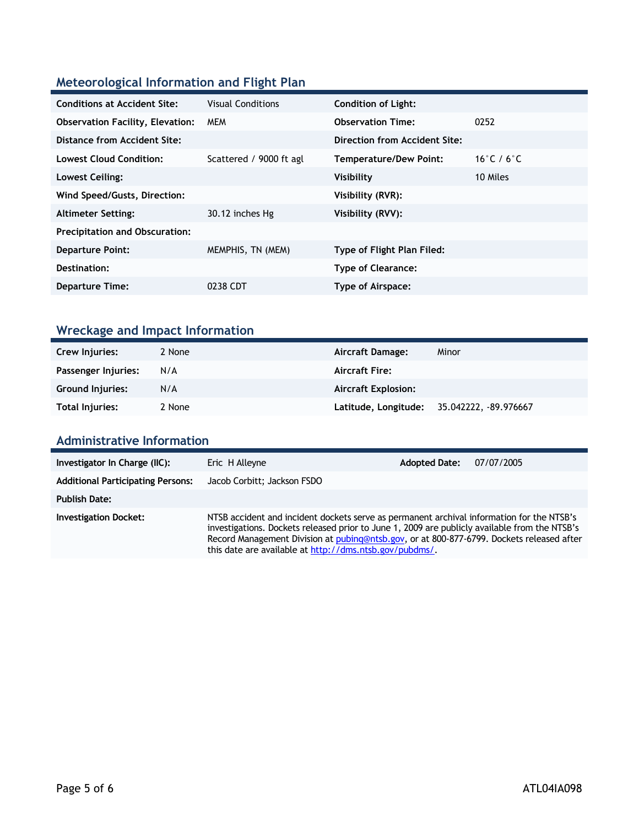#### **Meteorological Information and Flight Plan**

| <b>Conditions at Accident Site:</b>     | <b>Visual Conditions</b> | <b>Condition of Light:</b>        |            |
|-----------------------------------------|--------------------------|-----------------------------------|------------|
| <b>Observation Facility, Elevation:</b> | <b>MEM</b>               | <b>Observation Time:</b>          | 0252       |
| Distance from Accident Site:            |                          | Direction from Accident Site:     |            |
| <b>Lowest Cloud Condition:</b>          | Scattered / 9000 ft agl  | <b>Temperature/Dew Point:</b>     | 16°C / 6°C |
| Lowest Ceiling:                         |                          | Visibility                        | 10 Miles   |
| Wind Speed/Gusts, Direction:            |                          | Visibility (RVR):                 |            |
| <b>Altimeter Setting:</b>               | 30.12 inches Hg          | Visibility (RVV):                 |            |
| <b>Precipitation and Obscuration:</b>   |                          |                                   |            |
| <b>Departure Point:</b>                 | MEMPHIS, TN (MEM)        | <b>Type of Flight Plan Filed:</b> |            |
| Destination:                            |                          | <b>Type of Clearance:</b>         |            |
| <b>Departure Time:</b>                  | 0238 CDT                 | Type of Airspace:                 |            |
|                                         |                          |                                   |            |

### **Wreckage and Impact Information**

| Crew Injuries:          | 2 None | <b>Aircraft Damage:</b>    | Minor                 |
|-------------------------|--------|----------------------------|-----------------------|
| Passenger Injuries:     | N/A    | <b>Aircraft Fire:</b>      |                       |
| <b>Ground Injuries:</b> | N/A    | <b>Aircraft Explosion:</b> |                       |
| Total Injuries:         | 2 None | Latitude, Longitude;       | 35.042222, -89.976667 |

#### **Administrative Information**

| Investigator In Charge (IIC):            | Eric H Alleyne                                                                                                                                                                                                                                                                                                                                     | <b>Adopted Date:</b> | 07/07/2005 |
|------------------------------------------|----------------------------------------------------------------------------------------------------------------------------------------------------------------------------------------------------------------------------------------------------------------------------------------------------------------------------------------------------|----------------------|------------|
| <b>Additional Participating Persons:</b> | Jacob Corbitt; Jackson FSDO                                                                                                                                                                                                                                                                                                                        |                      |            |
| <b>Publish Date:</b>                     |                                                                                                                                                                                                                                                                                                                                                    |                      |            |
| <b>Investigation Docket:</b>             | NTSB accident and incident dockets serve as permanent archival information for the NTSB's<br>investigations. Dockets released prior to June 1, 2009 are publicly available from the NTSB's<br>Record Management Division at pubing@ntsb.gov, or at 800-877-6799. Dockets released after<br>this date are available at http://dms.ntsb.gov/pubdms/. |                      |            |